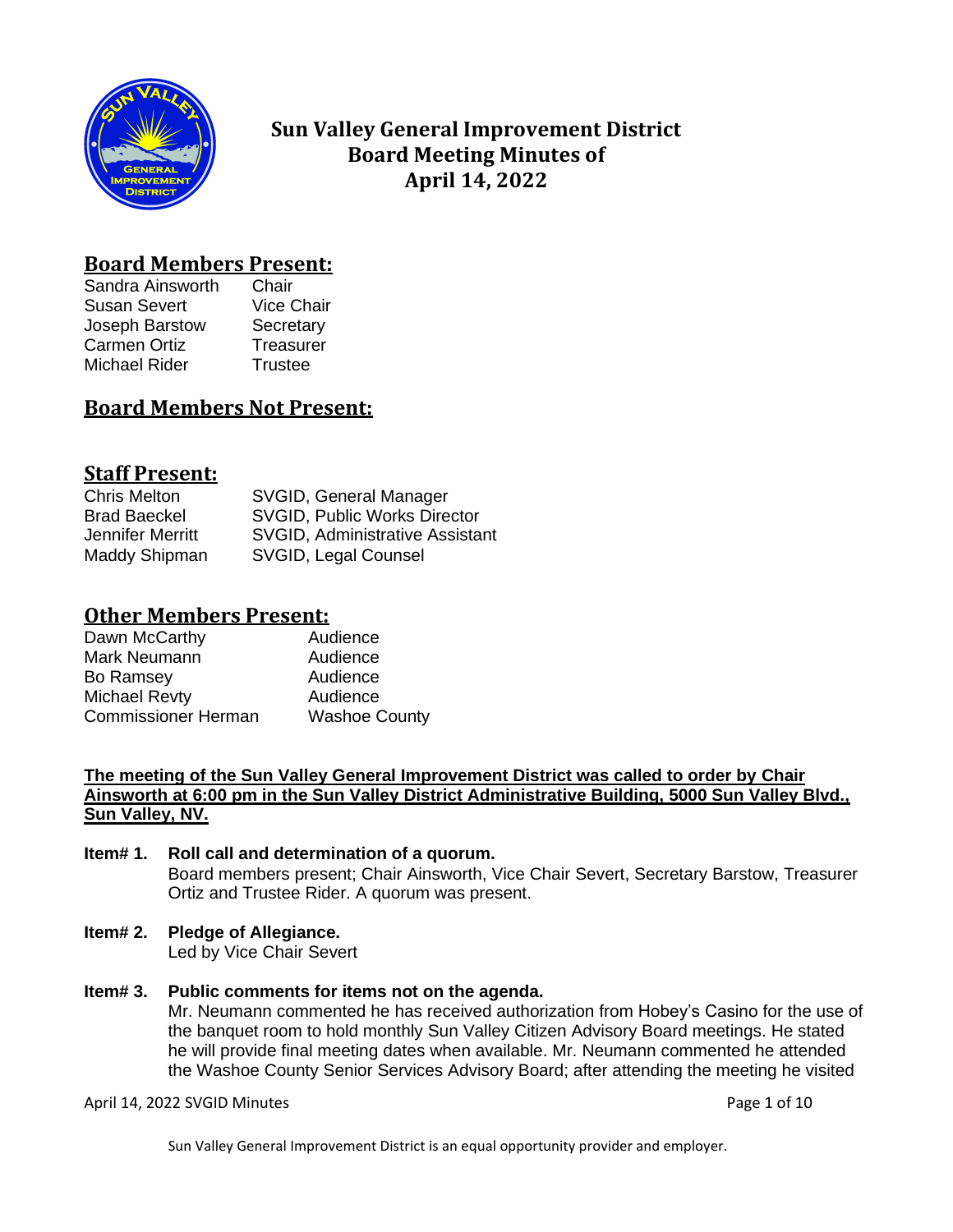

# **Sun Valley General Improvement District Board Meeting Minutes of April 14, 2022**

## **Board Members Present:**

Sandra Ainsworth Chair Susan Severt Vice Chair Joseph Barstow Secretary Carmen Ortiz **Treasurer** Michael Rider Trustee

## **Board Members Not Present:**

## **Staff Present:**

| <b>Chris Melton</b> | SVGID, General Manager                 |
|---------------------|----------------------------------------|
| <b>Brad Baeckel</b> | <b>SVGID, Public Works Director</b>    |
| Jennifer Merritt    | <b>SVGID, Administrative Assistant</b> |
| Maddy Shipman       | SVGID, Legal Counsel                   |

## **Other Members Present:**

| Audience             |
|----------------------|
| Audience             |
| Audience             |
| Audience             |
| <b>Washoe County</b> |
|                      |

### **The meeting of the Sun Valley General Improvement District was called to order by Chair Ainsworth at 6:00 pm in the Sun Valley District Administrative Building, 5000 Sun Valley Blvd., Sun Valley, NV.**

#### **Item# 1. Roll call and determination of a quorum.** Board members present; Chair Ainsworth, Vice Chair Severt, Secretary Barstow, Treasurer Ortiz and Trustee Rider. A quorum was present.

**Item# 2. Pledge of Allegiance.**

Led by Vice Chair Severt

**Item# 3. Public comments for items not on the agenda.**  Mr. Neumann commented he has received authorization from Hobey's Casino for the use of the banquet room to hold monthly Sun Valley Citizen Advisory Board meetings. He stated he will provide final meeting dates when available. Mr. Neumann commented he attended the Washoe County Senior Services Advisory Board; after attending the meeting he visited

April 14, 2022 SVGID Minutes **Page 1 of 10**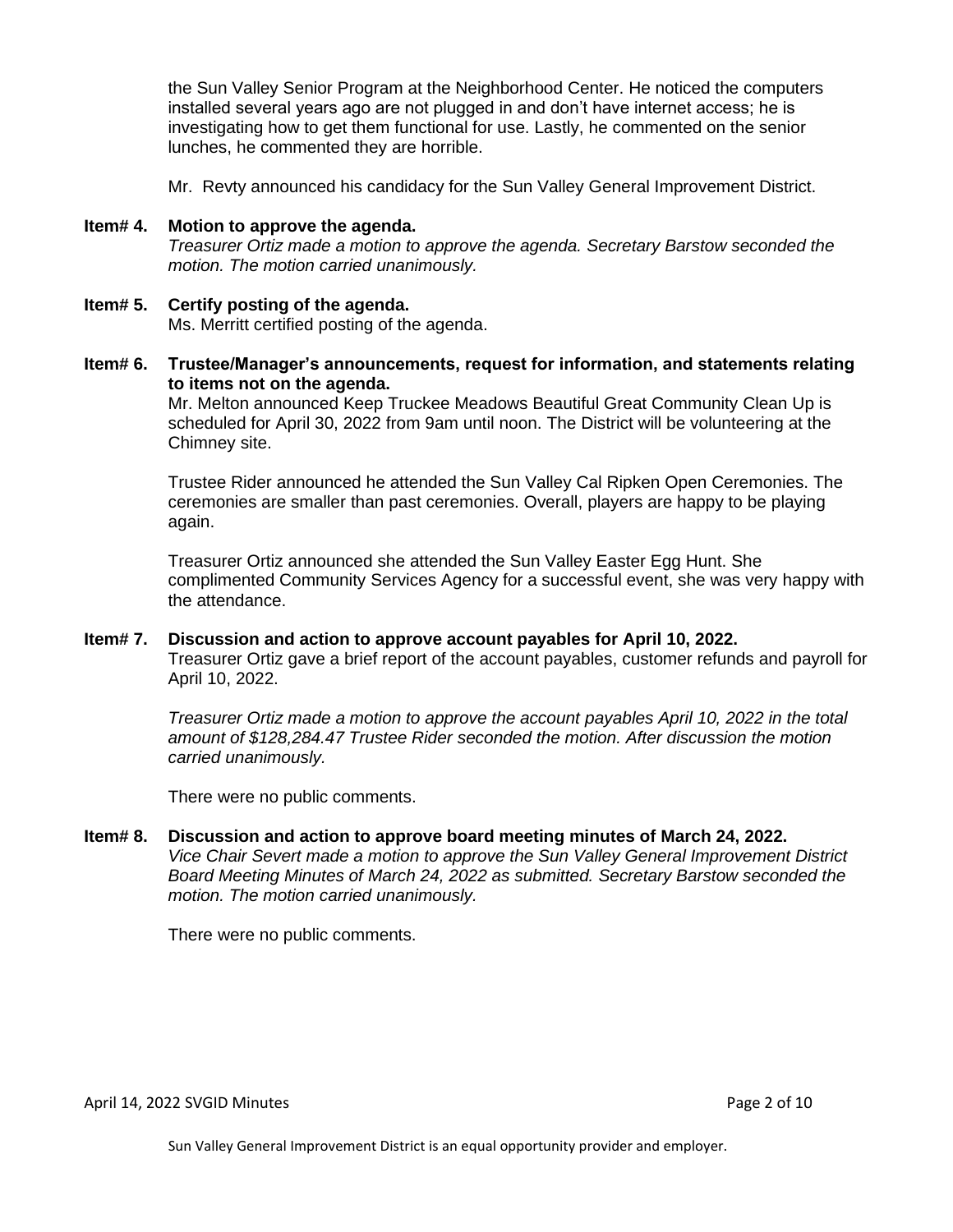the Sun Valley Senior Program at the Neighborhood Center. He noticed the computers installed several years ago are not plugged in and don't have internet access; he is investigating how to get them functional for use. Lastly, he commented on the senior lunches, he commented they are horrible.

Mr. Revty announced his candidacy for the Sun Valley General Improvement District.

- **Item# 4. Motion to approve the agenda.** *Treasurer Ortiz made a motion to approve the agenda. Secretary Barstow seconded the motion. The motion carried unanimously.*
- **Item# 5. Certify posting of the agenda.** Ms. Merritt certified posting of the agenda.
- **Item# 6. Trustee/Manager's announcements, request for information, and statements relating to items not on the agenda.**

Mr. Melton announced Keep Truckee Meadows Beautiful Great Community Clean Up is scheduled for April 30, 2022 from 9am until noon. The District will be volunteering at the Chimney site.

Trustee Rider announced he attended the Sun Valley Cal Ripken Open Ceremonies. The ceremonies are smaller than past ceremonies. Overall, players are happy to be playing again.

Treasurer Ortiz announced she attended the Sun Valley Easter Egg Hunt. She complimented Community Services Agency for a successful event, she was very happy with the attendance.

#### **Item# 7. Discussion and action to approve account payables for April 10, 2022.**  Treasurer Ortiz gave a brief report of the account payables, customer refunds and payroll for April 10, 2022.

*Treasurer Ortiz made a motion to approve the account payables April 10, 2022 in the total amount of \$128,284.47 Trustee Rider seconded the motion. After discussion the motion carried unanimously.*

There were no public comments.

**Item# 8. Discussion and action to approve board meeting minutes of March 24, 2022.**  *Vice Chair Severt made a motion to approve the Sun Valley General Improvement District Board Meeting Minutes of March 24, 2022 as submitted. Secretary Barstow seconded the motion. The motion carried unanimously.*

There were no public comments.

April 14, 2022 SVGID Minutes **Page 2 of 10**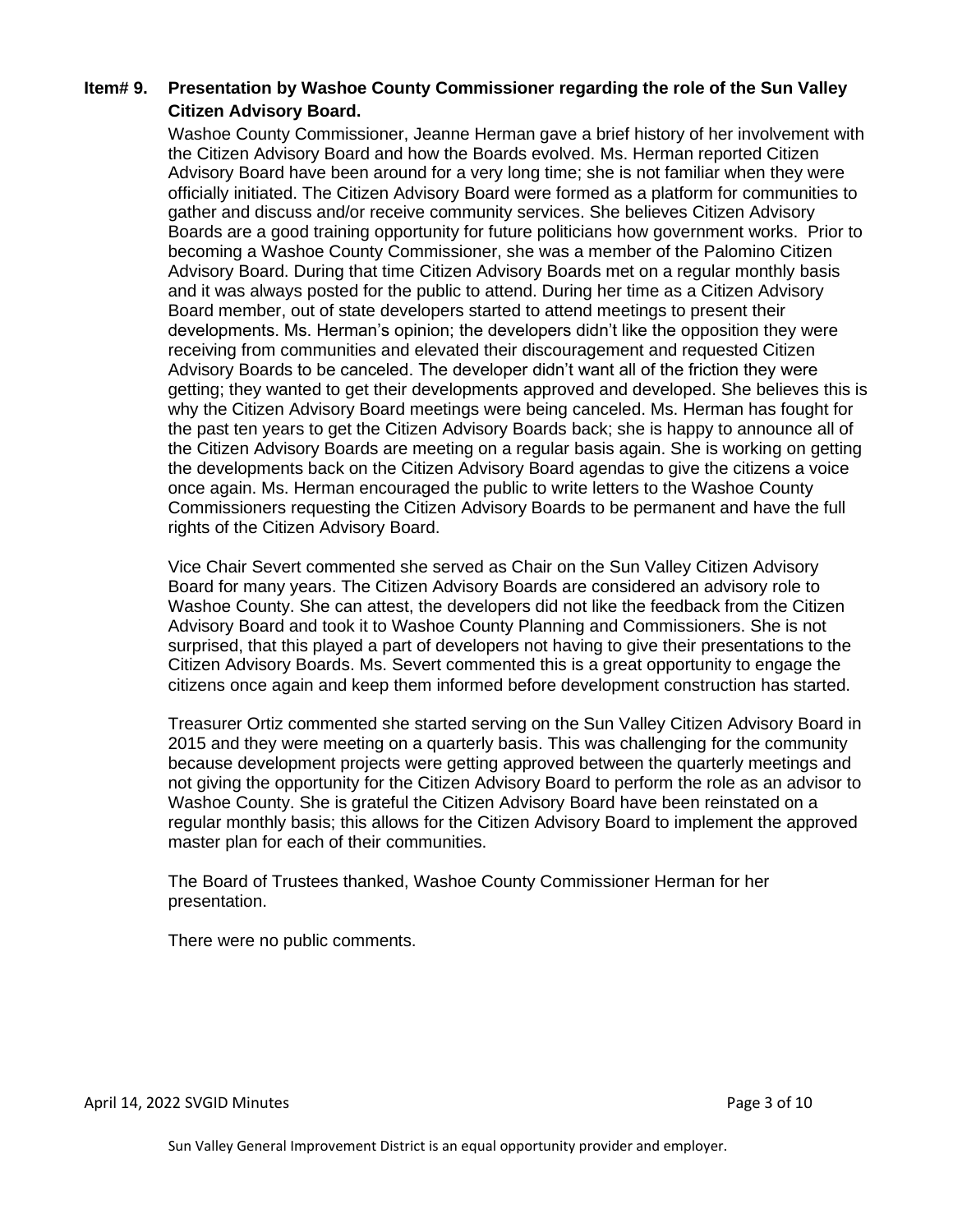## **Item# 9. Presentation by Washoe County Commissioner regarding the role of the Sun Valley Citizen Advisory Board.**

Washoe County Commissioner, Jeanne Herman gave a brief history of her involvement with the Citizen Advisory Board and how the Boards evolved. Ms. Herman reported Citizen Advisory Board have been around for a very long time; she is not familiar when they were officially initiated. The Citizen Advisory Board were formed as a platform for communities to gather and discuss and/or receive community services. She believes Citizen Advisory Boards are a good training opportunity for future politicians how government works. Prior to becoming a Washoe County Commissioner, she was a member of the Palomino Citizen Advisory Board. During that time Citizen Advisory Boards met on a regular monthly basis and it was always posted for the public to attend. During her time as a Citizen Advisory Board member, out of state developers started to attend meetings to present their developments. Ms. Herman's opinion; the developers didn't like the opposition they were receiving from communities and elevated their discouragement and requested Citizen Advisory Boards to be canceled. The developer didn't want all of the friction they were getting; they wanted to get their developments approved and developed. She believes this is why the Citizen Advisory Board meetings were being canceled. Ms. Herman has fought for the past ten years to get the Citizen Advisory Boards back; she is happy to announce all of the Citizen Advisory Boards are meeting on a regular basis again. She is working on getting the developments back on the Citizen Advisory Board agendas to give the citizens a voice once again. Ms. Herman encouraged the public to write letters to the Washoe County Commissioners requesting the Citizen Advisory Boards to be permanent and have the full rights of the Citizen Advisory Board.

Vice Chair Severt commented she served as Chair on the Sun Valley Citizen Advisory Board for many years. The Citizen Advisory Boards are considered an advisory role to Washoe County. She can attest, the developers did not like the feedback from the Citizen Advisory Board and took it to Washoe County Planning and Commissioners. She is not surprised, that this played a part of developers not having to give their presentations to the Citizen Advisory Boards. Ms. Severt commented this is a great opportunity to engage the citizens once again and keep them informed before development construction has started.

Treasurer Ortiz commented she started serving on the Sun Valley Citizen Advisory Board in 2015 and they were meeting on a quarterly basis. This was challenging for the community because development projects were getting approved between the quarterly meetings and not giving the opportunity for the Citizen Advisory Board to perform the role as an advisor to Washoe County. She is grateful the Citizen Advisory Board have been reinstated on a regular monthly basis; this allows for the Citizen Advisory Board to implement the approved master plan for each of their communities.

The Board of Trustees thanked, Washoe County Commissioner Herman for her presentation.

There were no public comments.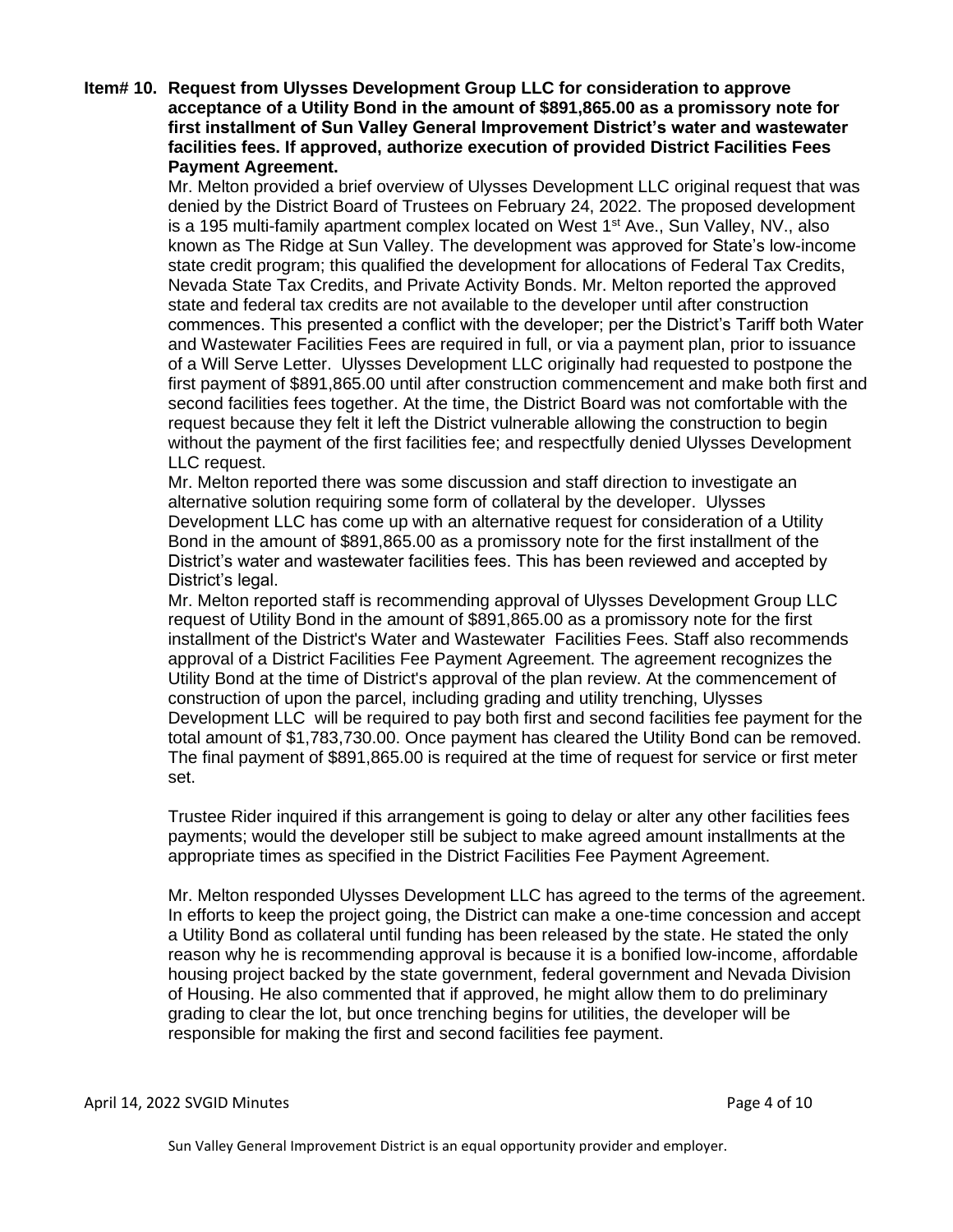#### **Item# 10. Request from Ulysses Development Group LLC for consideration to approve acceptance of a Utility Bond in the amount of \$891,865.00 as a promissory note for first installment of Sun Valley General Improvement District's water and wastewater facilities fees. If approved, authorize execution of provided District Facilities Fees Payment Agreement.**

Mr. Melton provided a brief overview of Ulysses Development LLC original request that was denied by the District Board of Trustees on February 24, 2022. The proposed development is a 195 multi-family apartment complex located on West 1<sup>st</sup> Ave., Sun Valley, NV., also known as The Ridge at Sun Valley. The development was approved for State's low-income state credit program; this qualified the development for allocations of Federal Tax Credits, Nevada State Tax Credits, and Private Activity Bonds. Mr. Melton reported the approved state and federal tax credits are not available to the developer until after construction commences. This presented a conflict with the developer; per the District's Tariff both Water and Wastewater Facilities Fees are required in full, or via a payment plan, prior to issuance of a Will Serve Letter. Ulysses Development LLC originally had requested to postpone the first payment of \$891,865.00 until after construction commencement and make both first and second facilities fees together. At the time, the District Board was not comfortable with the request because they felt it left the District vulnerable allowing the construction to begin without the payment of the first facilities fee; and respectfully denied Ulysses Development LLC request.

Mr. Melton reported there was some discussion and staff direction to investigate an alternative solution requiring some form of collateral by the developer. Ulysses Development LLC has come up with an alternative request for consideration of a Utility Bond in the amount of \$891,865.00 as a promissory note for the first installment of the District's water and wastewater facilities fees. This has been reviewed and accepted by District's legal.

Mr. Melton reported staff is recommending approval of Ulysses Development Group LLC request of Utility Bond in the amount of \$891,865.00 as a promissory note for the first installment of the District's Water and Wastewater Facilities Fees. Staff also recommends approval of a District Facilities Fee Payment Agreement. The agreement recognizes the Utility Bond at the time of District's approval of the plan review. At the commencement of construction of upon the parcel, including grading and utility trenching, Ulysses Development LLC will be required to pay both first and second facilities fee payment for the total amount of \$1,783,730.00. Once payment has cleared the Utility Bond can be removed. The final payment of \$891,865.00 is required at the time of request for service or first meter set.

Trustee Rider inquired if this arrangement is going to delay or alter any other facilities fees payments; would the developer still be subject to make agreed amount installments at the appropriate times as specified in the District Facilities Fee Payment Agreement.

Mr. Melton responded Ulysses Development LLC has agreed to the terms of the agreement. In efforts to keep the project going, the District can make a one-time concession and accept a Utility Bond as collateral until funding has been released by the state. He stated the only reason why he is recommending approval is because it is a bonified low-income, affordable housing project backed by the state government, federal government and Nevada Division of Housing. He also commented that if approved, he might allow them to do preliminary grading to clear the lot, but once trenching begins for utilities, the developer will be responsible for making the first and second facilities fee payment.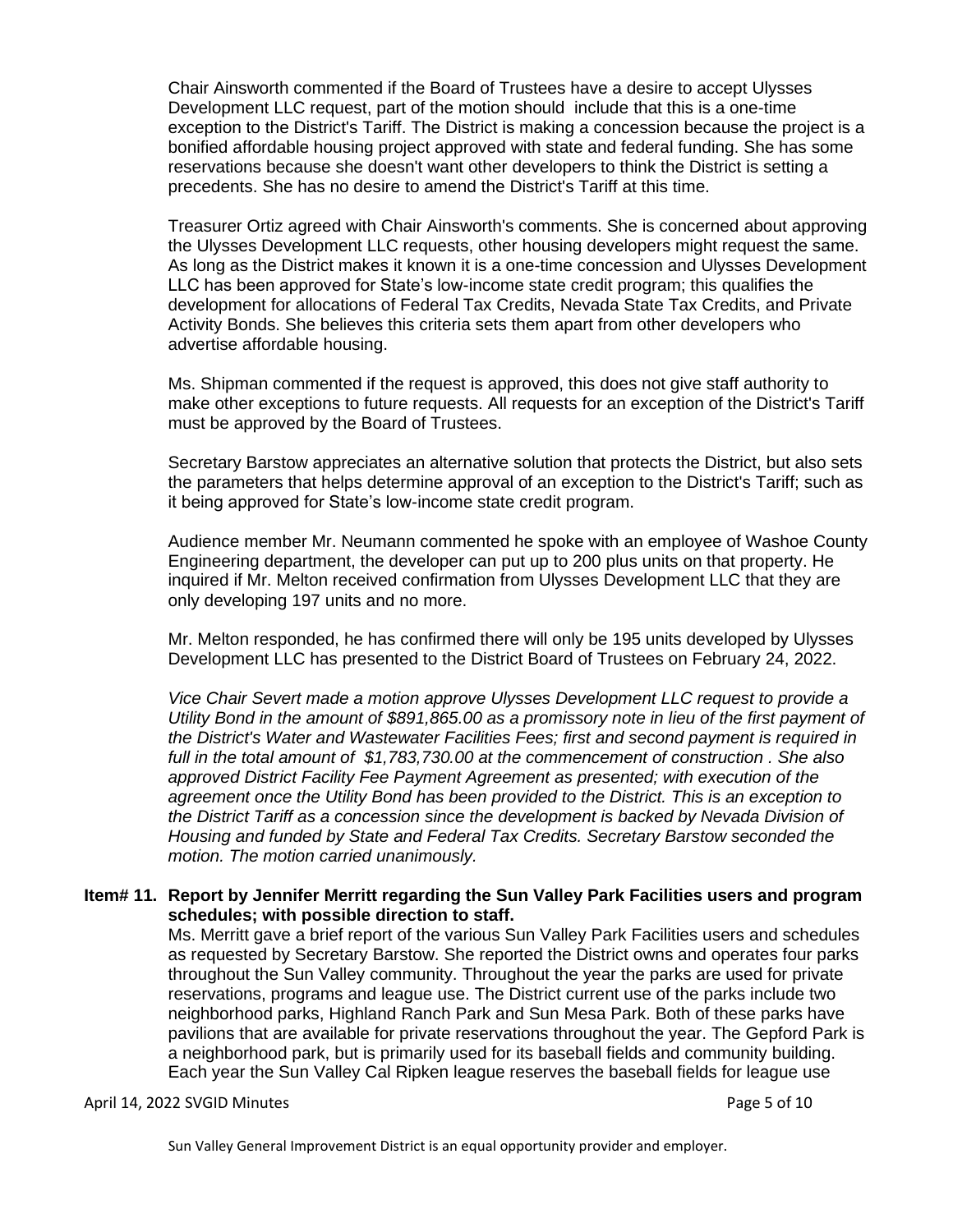Chair Ainsworth commented if the Board of Trustees have a desire to accept Ulysses Development LLC request, part of the motion should include that this is a one-time exception to the District's Tariff. The District is making a concession because the project is a bonified affordable housing project approved with state and federal funding. She has some reservations because she doesn't want other developers to think the District is setting a precedents. She has no desire to amend the District's Tariff at this time.

Treasurer Ortiz agreed with Chair Ainsworth's comments. She is concerned about approving the Ulysses Development LLC requests, other housing developers might request the same. As long as the District makes it known it is a one-time concession and Ulysses Development LLC has been approved for State's low-income state credit program; this qualifies the development for allocations of Federal Tax Credits, Nevada State Tax Credits, and Private Activity Bonds. She believes this criteria sets them apart from other developers who advertise affordable housing.

Ms. Shipman commented if the request is approved, this does not give staff authority to make other exceptions to future requests. All requests for an exception of the District's Tariff must be approved by the Board of Trustees.

Secretary Barstow appreciates an alternative solution that protects the District, but also sets the parameters that helps determine approval of an exception to the District's Tariff; such as it being approved for State's low-income state credit program.

Audience member Mr. Neumann commented he spoke with an employee of Washoe County Engineering department, the developer can put up to 200 plus units on that property. He inquired if Mr. Melton received confirmation from Ulysses Development LLC that they are only developing 197 units and no more.

Mr. Melton responded, he has confirmed there will only be 195 units developed by Ulysses Development LLC has presented to the District Board of Trustees on February 24, 2022.

*Vice Chair Severt made a motion approve Ulysses Development LLC request to provide a Utility Bond in the amount of \$891,865.00 as a promissory note in lieu of the first payment of the District's Water and Wastewater Facilities Fees; first and second payment is required in full in the total amount of \$1,783,730.00 at the commencement of construction . She also approved District Facility Fee Payment Agreement as presented; with execution of the agreement once the Utility Bond has been provided to the District. This is an exception to the District Tariff as a concession since the development is backed by Nevada Division of Housing and funded by State and Federal Tax Credits. Secretary Barstow seconded the motion. The motion carried unanimously.*

#### **Item# 11. Report by Jennifer Merritt regarding the Sun Valley Park Facilities users and program schedules; with possible direction to staff.**

Ms. Merritt gave a brief report of the various Sun Valley Park Facilities users and schedules as requested by Secretary Barstow. She reported the District owns and operates four parks throughout the Sun Valley community. Throughout the year the parks are used for private reservations, programs and league use. The District current use of the parks include two neighborhood parks, Highland Ranch Park and Sun Mesa Park. Both of these parks have pavilions that are available for private reservations throughout the year. The Gepford Park is a neighborhood park, but is primarily used for its baseball fields and community building. Each year the Sun Valley Cal Ripken league reserves the baseball fields for league use

#### April 14, 2022 SVGID Minutes **Page 5 of 10**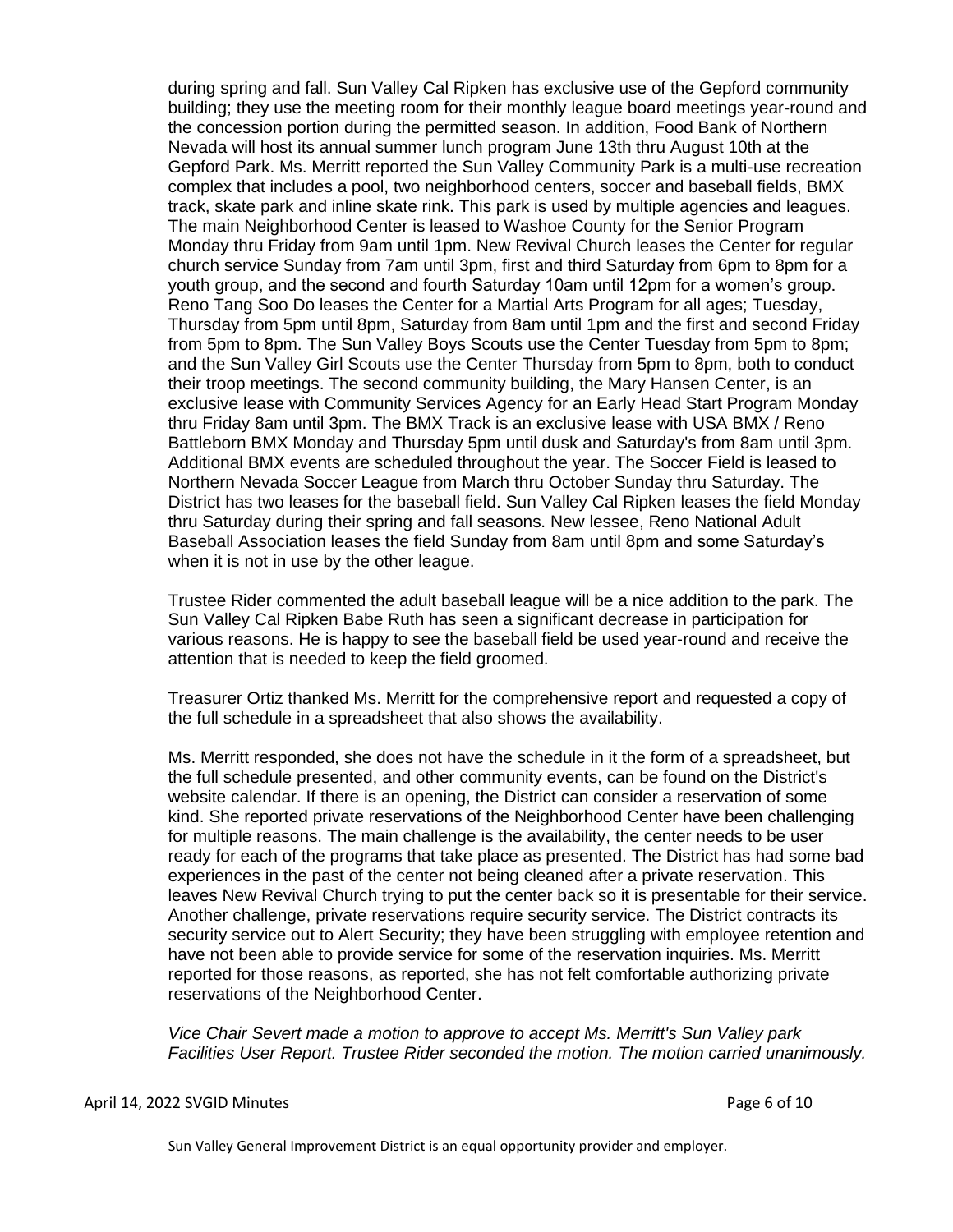during spring and fall. Sun Valley Cal Ripken has exclusive use of the Gepford community building; they use the meeting room for their monthly league board meetings year-round and the concession portion during the permitted season. In addition, Food Bank of Northern Nevada will host its annual summer lunch program June 13th thru August 10th at the Gepford Park. Ms. Merritt reported the Sun Valley Community Park is a multi-use recreation complex that includes a pool, two neighborhood centers, soccer and baseball fields, BMX track, skate park and inline skate rink. This park is used by multiple agencies and leagues. The main Neighborhood Center is leased to Washoe County for the Senior Program Monday thru Friday from 9am until 1pm. New Revival Church leases the Center for regular church service Sunday from 7am until 3pm, first and third Saturday from 6pm to 8pm for a youth group, and the second and fourth Saturday 10am until 12pm for a women's group. Reno Tang Soo Do leases the Center for a Martial Arts Program for all ages; Tuesday, Thursday from 5pm until 8pm, Saturday from 8am until 1pm and the first and second Friday from 5pm to 8pm. The Sun Valley Boys Scouts use the Center Tuesday from 5pm to 8pm; and the Sun Valley Girl Scouts use the Center Thursday from 5pm to 8pm, both to conduct their troop meetings. The second community building, the Mary Hansen Center, is an exclusive lease with Community Services Agency for an Early Head Start Program Monday thru Friday 8am until 3pm. The BMX Track is an exclusive lease with USA BMX / Reno Battleborn BMX Monday and Thursday 5pm until dusk and Saturday's from 8am until 3pm. Additional BMX events are scheduled throughout the year. The Soccer Field is leased to Northern Nevada Soccer League from March thru October Sunday thru Saturday. The District has two leases for the baseball field. Sun Valley Cal Ripken leases the field Monday thru Saturday during their spring and fall seasons. New lessee, Reno National Adult Baseball Association leases the field Sunday from 8am until 8pm and some Saturday's when it is not in use by the other league.

Trustee Rider commented the adult baseball league will be a nice addition to the park. The Sun Valley Cal Ripken Babe Ruth has seen a significant decrease in participation for various reasons. He is happy to see the baseball field be used year-round and receive the attention that is needed to keep the field groomed.

Treasurer Ortiz thanked Ms. Merritt for the comprehensive report and requested a copy of the full schedule in a spreadsheet that also shows the availability.

Ms. Merritt responded, she does not have the schedule in it the form of a spreadsheet, but the full schedule presented, and other community events, can be found on the District's website calendar. If there is an opening, the District can consider a reservation of some kind. She reported private reservations of the Neighborhood Center have been challenging for multiple reasons. The main challenge is the availability, the center needs to be user ready for each of the programs that take place as presented. The District has had some bad experiences in the past of the center not being cleaned after a private reservation. This leaves New Revival Church trying to put the center back so it is presentable for their service. Another challenge, private reservations require security service. The District contracts its security service out to Alert Security; they have been struggling with employee retention and have not been able to provide service for some of the reservation inquiries. Ms. Merritt reported for those reasons, as reported, she has not felt comfortable authorizing private reservations of the Neighborhood Center.

*Vice Chair Severt made a motion to approve to accept Ms. Merritt's Sun Valley park Facilities User Report. Trustee Rider seconded the motion. The motion carried unanimously.*

#### April 14, 2022 SVGID Minutes **Page 6 of 10**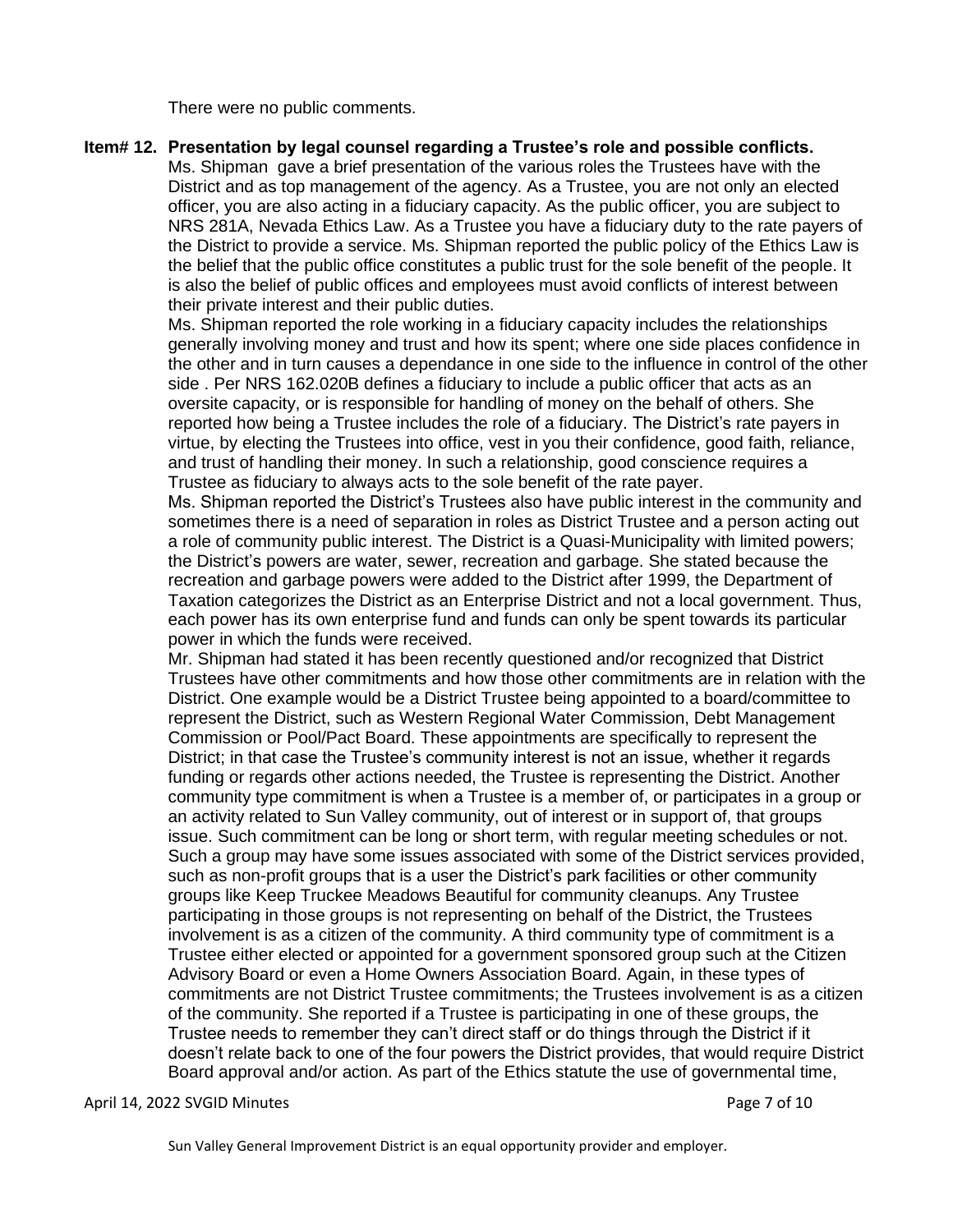There were no public comments.

#### **Item# 12. Presentation by legal counsel regarding a Trustee's role and possible conflicts.**

Ms. Shipman gave a brief presentation of the various roles the Trustees have with the District and as top management of the agency. As a Trustee, you are not only an elected officer, you are also acting in a fiduciary capacity. As the public officer, you are subject to NRS 281A, Nevada Ethics Law. As a Trustee you have a fiduciary duty to the rate payers of the District to provide a service. Ms. Shipman reported the public policy of the Ethics Law is the belief that the public office constitutes a public trust for the sole benefit of the people. It is also the belief of public offices and employees must avoid conflicts of interest between their private interest and their public duties.

Ms. Shipman reported the role working in a fiduciary capacity includes the relationships generally involving money and trust and how its spent; where one side places confidence in the other and in turn causes a dependance in one side to the influence in control of the other side . Per NRS 162.020B defines a fiduciary to include a public officer that acts as an oversite capacity, or is responsible for handling of money on the behalf of others. She reported how being a Trustee includes the role of a fiduciary. The District's rate payers in virtue, by electing the Trustees into office, vest in you their confidence, good faith, reliance, and trust of handling their money. In such a relationship, good conscience requires a Trustee as fiduciary to always acts to the sole benefit of the rate payer.

Ms. Shipman reported the District's Trustees also have public interest in the community and sometimes there is a need of separation in roles as District Trustee and a person acting out a role of community public interest. The District is a Quasi-Municipality with limited powers; the District's powers are water, sewer, recreation and garbage. She stated because the recreation and garbage powers were added to the District after 1999, the Department of Taxation categorizes the District as an Enterprise District and not a local government. Thus, each power has its own enterprise fund and funds can only be spent towards its particular power in which the funds were received.

Mr. Shipman had stated it has been recently questioned and/or recognized that District Trustees have other commitments and how those other commitments are in relation with the District. One example would be a District Trustee being appointed to a board/committee to represent the District, such as Western Regional Water Commission, Debt Management Commission or Pool/Pact Board. These appointments are specifically to represent the District; in that case the Trustee's community interest is not an issue, whether it regards funding or regards other actions needed, the Trustee is representing the District. Another community type commitment is when a Trustee is a member of, or participates in a group or an activity related to Sun Valley community, out of interest or in support of, that groups issue. Such commitment can be long or short term, with regular meeting schedules or not. Such a group may have some issues associated with some of the District services provided, such as non-profit groups that is a user the District's park facilities or other community groups like Keep Truckee Meadows Beautiful for community cleanups. Any Trustee participating in those groups is not representing on behalf of the District, the Trustees involvement is as a citizen of the community. A third community type of commitment is a Trustee either elected or appointed for a government sponsored group such at the Citizen Advisory Board or even a Home Owners Association Board. Again, in these types of commitments are not District Trustee commitments; the Trustees involvement is as a citizen of the community. She reported if a Trustee is participating in one of these groups, the Trustee needs to remember they can't direct staff or do things through the District if it doesn't relate back to one of the four powers the District provides, that would require District Board approval and/or action. As part of the Ethics statute the use of governmental time,

#### April 14, 2022 SVGID Minutes **Page 7 of 10**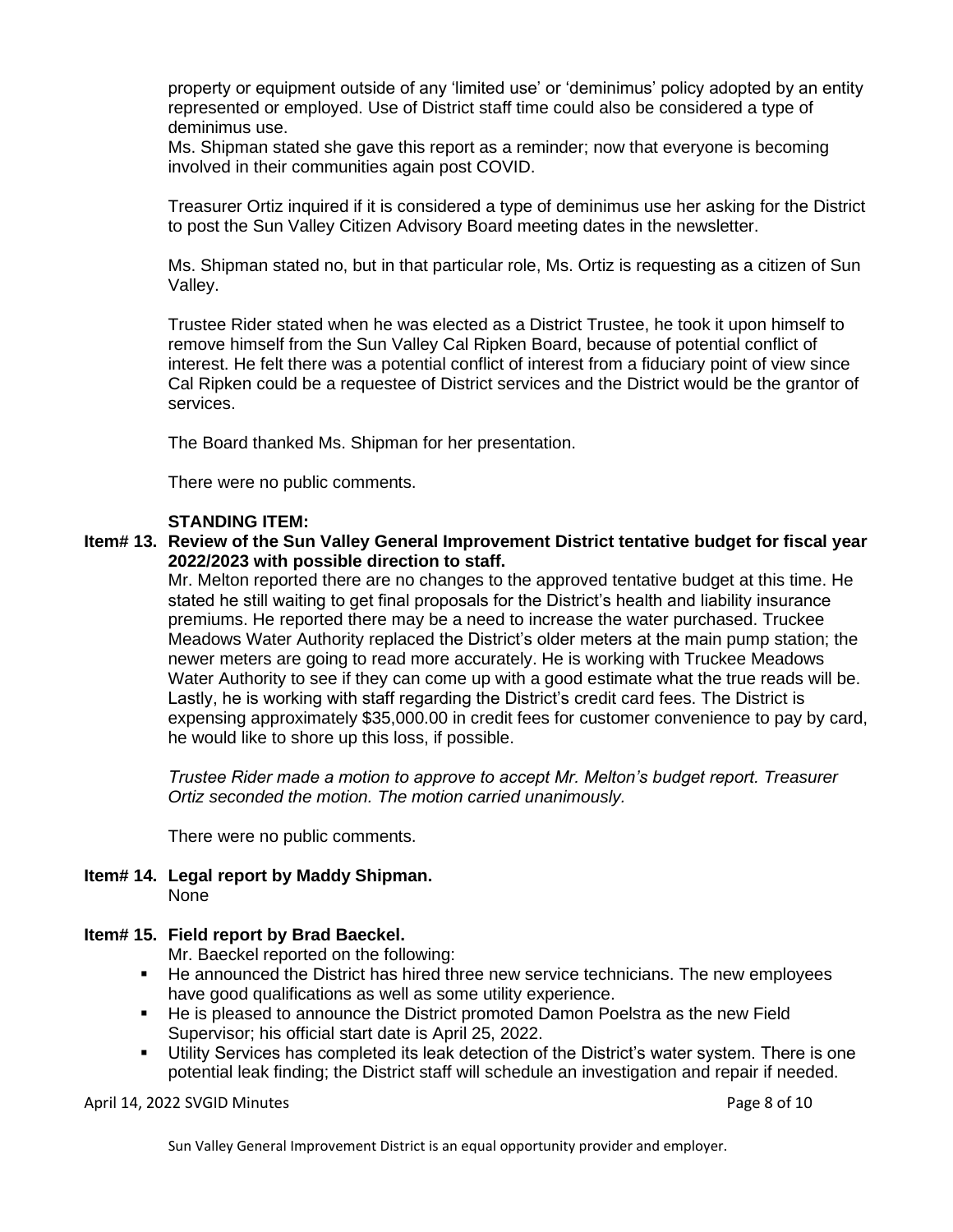property or equipment outside of any 'limited use' or 'deminimus' policy adopted by an entity represented or employed. Use of District staff time could also be considered a type of deminimus use.

Ms. Shipman stated she gave this report as a reminder; now that everyone is becoming involved in their communities again post COVID.

Treasurer Ortiz inquired if it is considered a type of deminimus use her asking for the District to post the Sun Valley Citizen Advisory Board meeting dates in the newsletter.

Ms. Shipman stated no, but in that particular role, Ms. Ortiz is requesting as a citizen of Sun Valley.

Trustee Rider stated when he was elected as a District Trustee, he took it upon himself to remove himself from the Sun Valley Cal Ripken Board, because of potential conflict of interest. He felt there was a potential conflict of interest from a fiduciary point of view since Cal Ripken could be a requestee of District services and the District would be the grantor of services.

The Board thanked Ms. Shipman for her presentation.

There were no public comments.

#### **STANDING ITEM:**

#### **Item# 13. Review of the Sun Valley General Improvement District tentative budget for fiscal year 2022/2023 with possible direction to staff.**

Mr. Melton reported there are no changes to the approved tentative budget at this time. He stated he still waiting to get final proposals for the District's health and liability insurance premiums. He reported there may be a need to increase the water purchased. Truckee Meadows Water Authority replaced the District's older meters at the main pump station; the newer meters are going to read more accurately. He is working with Truckee Meadows Water Authority to see if they can come up with a good estimate what the true reads will be. Lastly, he is working with staff regarding the District's credit card fees. The District is expensing approximately \$35,000.00 in credit fees for customer convenience to pay by card, he would like to shore up this loss, if possible.

*Trustee Rider made a motion to approve to accept Mr. Melton's budget report. Treasurer Ortiz seconded the motion. The motion carried unanimously.*

There were no public comments.

**Item# 14. Legal report by Maddy Shipman.** None

#### **Item# 15. Field report by Brad Baeckel.**

Mr. Baeckel reported on the following:

- He announced the District has hired three new service technicians. The new employees have good qualifications as well as some utility experience.
- He is pleased to announce the District promoted Damon Poelstra as the new Field Supervisor; his official start date is April 25, 2022.
- Utility Services has completed its leak detection of the District's water system. There is one potential leak finding; the District staff will schedule an investigation and repair if needed.

April 14, 2022 SVGID Minutes **Page 8 of 10**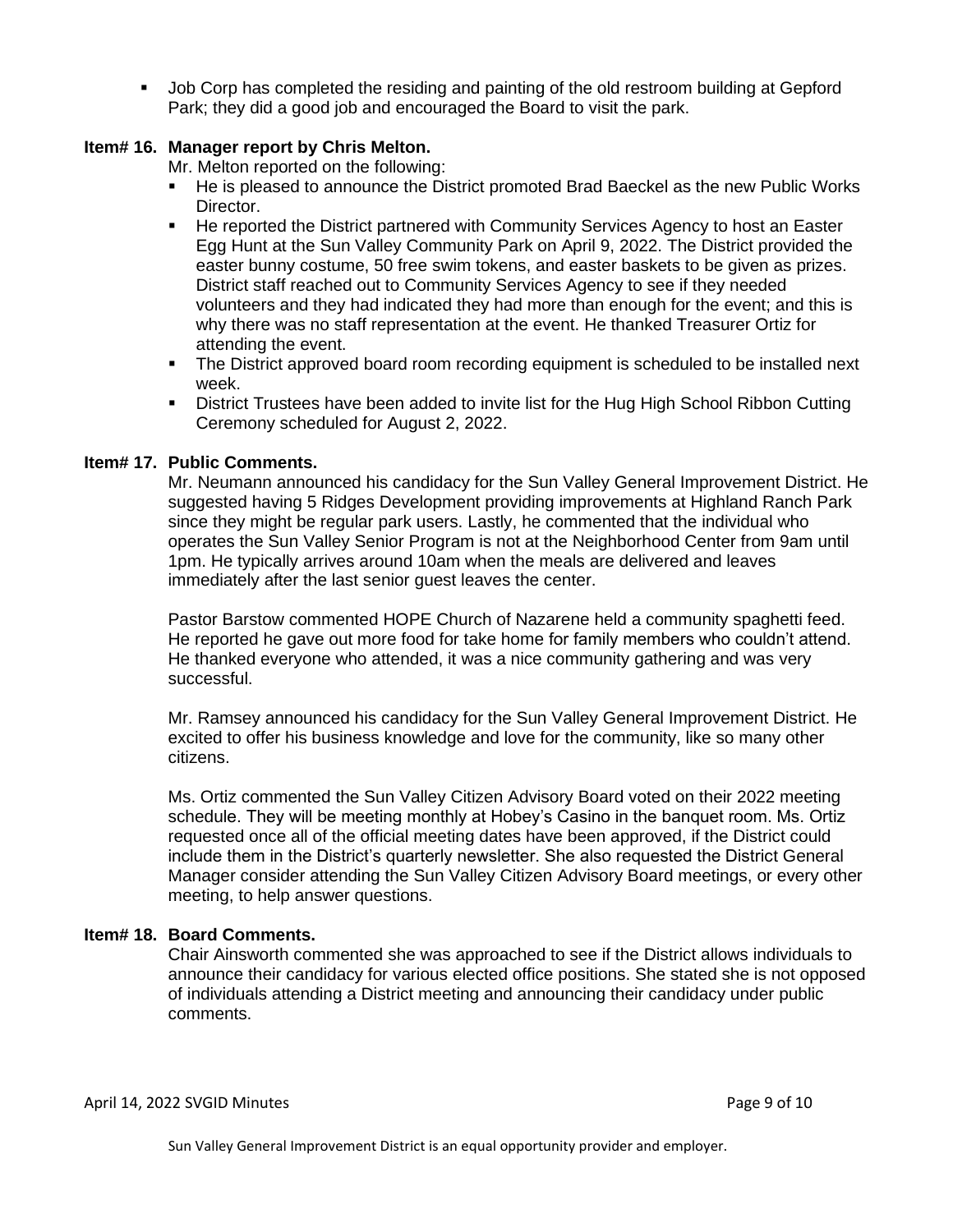▪ Job Corp has completed the residing and painting of the old restroom building at Gepford Park; they did a good job and encouraged the Board to visit the park.

## **Item# 16. Manager report by Chris Melton.**

Mr. Melton reported on the following:

- He is pleased to announce the District promoted Brad Baeckel as the new Public Works Director.
- He reported the District partnered with Community Services Agency to host an Easter Egg Hunt at the Sun Valley Community Park on April 9, 2022. The District provided the easter bunny costume, 50 free swim tokens, and easter baskets to be given as prizes. District staff reached out to Community Services Agency to see if they needed volunteers and they had indicated they had more than enough for the event; and this is why there was no staff representation at the event. He thanked Treasurer Ortiz for attending the event.
- **•** The District approved board room recording equipment is scheduled to be installed next week.
- **•** District Trustees have been added to invite list for the Hug High School Ribbon Cutting Ceremony scheduled for August 2, 2022.

### **Item# 17. Public Comments.**

Mr. Neumann announced his candidacy for the Sun Valley General Improvement District. He suggested having 5 Ridges Development providing improvements at Highland Ranch Park since they might be regular park users. Lastly, he commented that the individual who operates the Sun Valley Senior Program is not at the Neighborhood Center from 9am until 1pm. He typically arrives around 10am when the meals are delivered and leaves immediately after the last senior guest leaves the center.

Pastor Barstow commented HOPE Church of Nazarene held a community spaghetti feed. He reported he gave out more food for take home for family members who couldn't attend. He thanked everyone who attended, it was a nice community gathering and was very successful.

Mr. Ramsey announced his candidacy for the Sun Valley General Improvement District. He excited to offer his business knowledge and love for the community, like so many other citizens.

Ms. Ortiz commented the Sun Valley Citizen Advisory Board voted on their 2022 meeting schedule. They will be meeting monthly at Hobey's Casino in the banquet room. Ms. Ortiz requested once all of the official meeting dates have been approved, if the District could include them in the District's quarterly newsletter. She also requested the District General Manager consider attending the Sun Valley Citizen Advisory Board meetings, or every other meeting, to help answer questions.

### **Item# 18. Board Comments.**

Chair Ainsworth commented she was approached to see if the District allows individuals to announce their candidacy for various elected office positions. She stated she is not opposed of individuals attending a District meeting and announcing their candidacy under public comments.